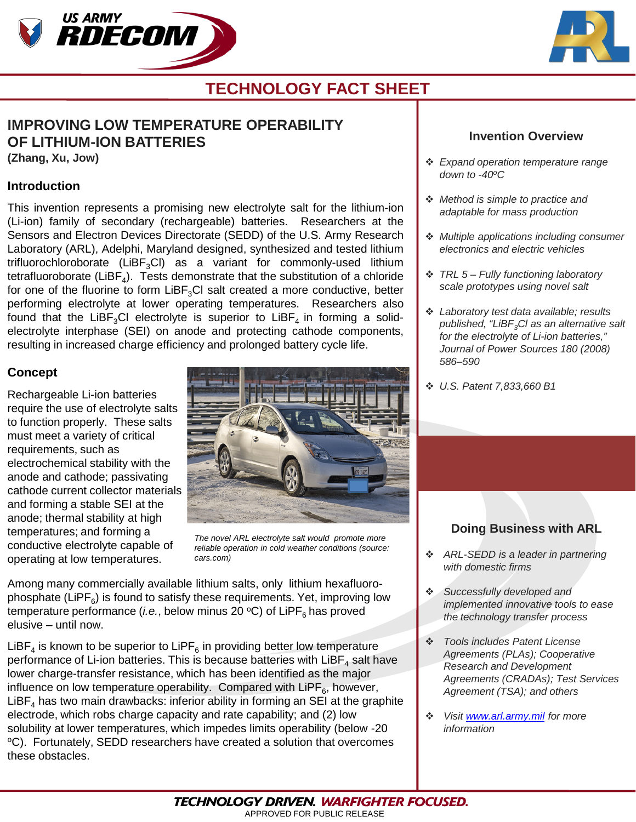



# **TECHNOLOGY FACT SHEET**

# **IMPROVING LOW TEMPERATURE OPERABILITY OF LITHIUM-ION BATTERIES**

**(Zhang, Xu, Jow)**

#### **Introduction**

This invention represents a promising new electrolyte salt for the lithium-ion (Li-ion) family of secondary (rechargeable) batteries. Researchers at the Sensors and Electron Devices Directorate (SEDD) of the U.S. Army Research Laboratory (ARL), Adelphi, Maryland designed, synthesized and tested lithium trifluorochloroborate (LiBF<sub>3</sub>Cl) as a variant for commonly-used lithium tetrafluoroborate ( $LiBF<sub>4</sub>$ ). Tests demonstrate that the substitution of a chloride for one of the fluorine to form LiBF<sub>3</sub>Cl salt created a more conductive, better performing electrolyte at lower operating temperatures. Researchers also found that the LiBF<sub>3</sub>Cl electrolyte is superior to LiBF<sub>4</sub> in forming a solidelectrolyte interphase (SEI) on anode and protecting cathode components, resulting in increased charge efficiency and prolonged battery cycle life.

### **Concept**

Rechargeable Li-ion batteries require the use of electrolyte salts to function properly. These salts must meet a variety of critical requirements, such as electrochemical stability with the anode and cathode; passivating cathode current collector materials and forming a stable SEI at the anode; thermal stability at high temperatures; and forming a conductive electrolyte capable of operating at low temperatures.



*The novel ARL electrolyte salt would promote more reliable operation in cold weather conditions (source: cars.com)*

Among many commercially available lithium salts, only lithium hexafluorophosphate (LiPF $_6$ ) is found to satisfy these requirements. Yet, improving low temperature performance (*i.e.*, below minus 20  $\rm{^{\circ}C}$ ) of LiPF<sub>6</sub> has proved elusive – until now.

LiBF<sub>4</sub> is known to be superior to LiPF<sub>6</sub> in providing better low temperature performance of Li-ion batteries. This is because batteries with  $L_iBF_4$  salt have lower charge-transfer resistance, which has been identified as the major influence on low temperature operability. Compared with LiPF $_6$ , however, LiBF<sub>4</sub> has two main drawbacks: inferior ability in forming an SEI at the graphite electrode, which robs charge capacity and rate capability; and (2) low solubility at lower temperatures, which impedes limits operability (below -20 °C). Fortunately, SEDD researchers have created a solution that overcomes these obstacles.

#### **Invention Overview**

- *Expand operation temperature range down to -40oC*
- *Method is simple to practice and adaptable for mass production*
- *Multiple applications including consumer electronics and electric vehicles*
- *TRL 5 – Fully functioning laboratory scale prototypes using novel salt*
- *Laboratory test data available; results published, "LiBF3Cl as an alternative salt for the electrolyte of Li-ion batteries," Journal of Power Sources 180 (2008) 586–590*
- *U.S. Patent 7,833,660 B1*

## **Doing Business with ARL**

- *ARL-SEDD is a leader in partnering with domestic firms*
- *Successfully developed and implemented innovative tools to ease the technology transfer process*
- *Tools includes Patent License Agreements (PLAs); Cooperative Research and Development Agreements (CRADAs); Test Services Agreement (TSA); and others*
- *Visit [www.arl.army.mil](http://www.arl.army.mil/) for more information*